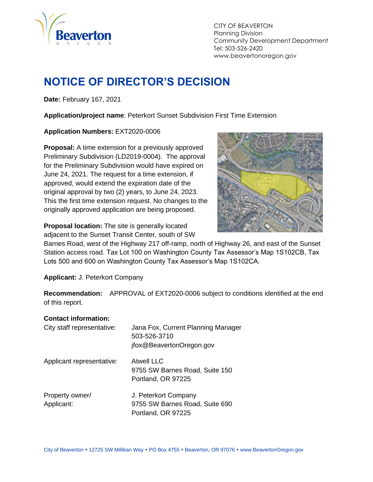

CITY OF BEAVERTON Planning Division Community Development Department Tel: 503-526-2420 www.beavertonoregon.gov

# <span id="page-0-0"></span>**NOTICE OF DIRECTOR'S DECISION**

**Date:** February 167, 2021

**Application/project name**: Peterkort Sunset Subdivision First Time Extension

**Application Numbers:** EXT2020-0006

**Proposal:** A time extension for a previously approved Preliminary Subdivision (LD2019-0004). The approval for the Preliminary Subdivision would have expired on June 24, 2021. The request for a time extension, if approved, would extend the expiration date of the original approval by two (2) years, to June 24, 2023. This the first time extension request. No changes to the originally approved application are being proposed.

**Proposal location:** The site is generally located adjacent to the Sunset Transit Center, south of SW



Barnes Road, west of the Highway 217 off-ramp, north of Highway 26, and east of the Sunset Station access road. Tax Lot 100 on Washington County Tax Assessor's Map 1S102CB, Tax Lots 500 and 600 on Washington County Tax Assessor's Map 1S102CA.

**Applicant:** J. Peterkort Company

**Recommendation:** APPROVAL of EXT2020-0006 subject to conditions identified at the end of this report.

#### **Contact information:**

| City staff representative:    | Jana Fox, Current Planning Manager<br>503-526-3710<br>jfox@BeavertonOregon.gov |
|-------------------------------|--------------------------------------------------------------------------------|
| Applicant representative:     | <b>Atwell LLC</b><br>9755 SW Barnes Road, Suite 150<br>Portland, OR 97225      |
| Property owner/<br>Applicant: | J. Peterkort Company<br>9755 SW Barnes Road, Suite 690<br>Portland, OR 97225   |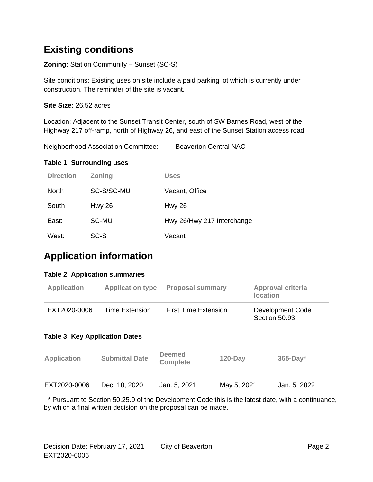## **Existing conditions**

**Zoning:** Station Community – Sunset (SC-S)

Site conditions: Existing uses on site include a paid parking lot which is currently under construction. The reminder of the site is vacant.

**Site Size:** 26.52 acres

Location: Adjacent to the Sunset Transit Center, south of SW Barnes Road, west of the Highway 217 off-ramp, north of Highway 26, and east of the Sunset Station access road.

Neighborhood Association Committee: Beaverton Central NAC

#### **Table 1: Surrounding uses**

| <b>Direction</b> | <b>Zoning</b> | <b>Uses</b>                |
|------------------|---------------|----------------------------|
| <b>North</b>     | SC-S/SC-MU    | Vacant, Office             |
| South            | <b>Hwy 26</b> | <b>Hwy 26</b>              |
| East:            | SC-MU         | Hwy 26/Hwy 217 Interchange |
| West:            | SC-S          | Vacant                     |

## **Application information**

#### **Table 2: Application summaries**

| <b>Application</b>                                    | <b>Application type</b> | <b>Proposal summary</b>     | <b>Approval criteria</b><br><b>location</b> |
|-------------------------------------------------------|-------------------------|-----------------------------|---------------------------------------------|
| EXT2020-0006<br><b>Table 3: Key Application Dates</b> | <b>Time Extension</b>   | <b>First Time Extension</b> | Development Code<br>Section 50.93           |
|                                                       |                         | December 1                  |                                             |

| <b>Application</b> | <b>Submittal Date</b> | <b>Deemed</b><br><b>Complete</b> | $120 - Day$ | $365$ -Day*  |  |
|--------------------|-----------------------|----------------------------------|-------------|--------------|--|
| EXT2020-0006       | Dec. 10, 2020         | Jan. 5, 2021                     | May 5, 2021 | Jan. 5, 2022 |  |

 \* Pursuant to Section 50.25.9 of the Development Code this is the latest date, with a continuance, by which a final written decision on the proposal can be made.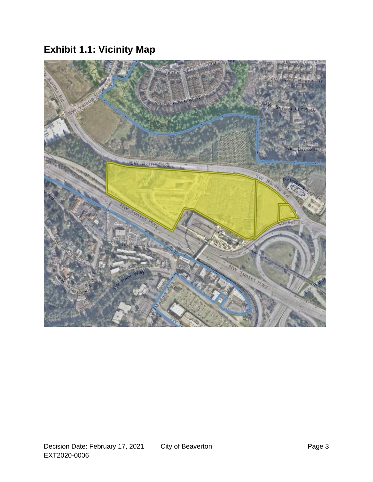# **Exhibit 1.1: Vicinity Map**

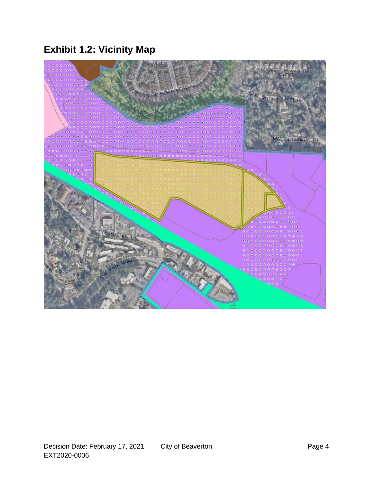# **Exhibit 1.2: Vicinity Map**

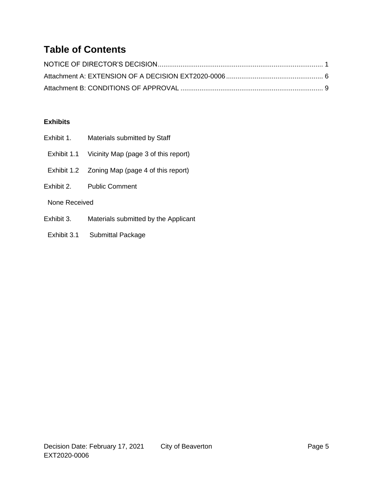## **Table of Contents**

#### **Exhibits**

- Exhibit 1. Materials submitted by Staff
- Exhibit 1.1 Vicinity Map (page 3 of this report)
- Exhibit 1.2 Zoning Map (page 4 of this report)
- Exhibit 2. Public Comment

None Received

- Exhibit 3. Materials submitted by the Applicant
- Exhibit 3.1 Submittal Package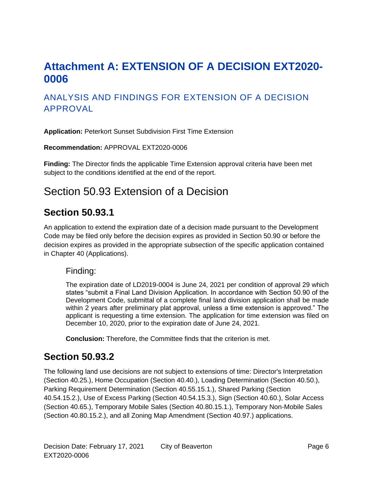# <span id="page-5-0"></span>**Attachment A: EXTENSION OF A DECISION EXT2020- 0006**

#### ANALYSIS AND FINDINGS FOR EXTENSION OF A DECISION APPROVAL

**Application:** Peterkort Sunset Subdivision First Time Extension

**Recommendation:** APPROVAL EXT2020-0006

**Finding:** The Director finds the applicable Time Extension approval criteria have been met subject to the conditions identified at the end of the report.

# Section 50.93 Extension of a Decision

#### **Section 50.93.1**

An application to extend the expiration date of a decision made pursuant to the Development Code may be filed only before the decision expires as provided in Section 50.90 or before the decision expires as provided in the appropriate subsection of the specific application contained in Chapter 40 (Applications).

#### Finding:

The expiration date of LD2019-0004 is June 24, 2021 per condition of approval 29 which states "submit a Final Land Division Application. In accordance with Section 50.90 of the Development Code, submittal of a complete final land division application shall be made within 2 years after preliminary plat approval, unless a time extension is approved." The applicant is requesting a time extension. The application for time extension was filed on December 10, 2020, prior to the expiration date of June 24, 2021.

**Conclusion:** Therefore, the Committee finds that the criterion is met.

#### **Section 50.93.2**

The following land use decisions are not subject to extensions of time: Director's Interpretation (Section 40.25.), Home Occupation (Section 40.40.), Loading Determination (Section 40.50.), Parking Requirement Determination (Section 40.55.15.1.), Shared Parking (Section 40.54.15.2.), Use of Excess Parking (Section 40.54.15.3.), Sign (Section 40.60.), Solar Access (Section 40.65.), Temporary Mobile Sales (Section 40.80.15.1.), Temporary Non-Mobile Sales (Section 40.80.15.2.), and all Zoning Map Amendment (Section 40.97.) applications.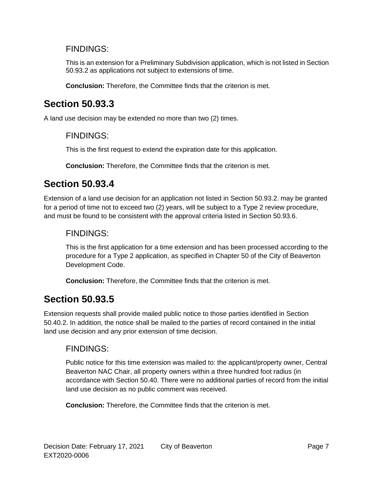#### FINDINGS:

This is an extension for a Preliminary Subdivision application, which is not listed in Section 50.93.2 as applications not subject to extensions of time.

**Conclusion:** Therefore, the Committee finds that the criterion is met.

## **Section 50.93.3**

A land use decision may be extended no more than two (2) times.

#### FINDINGS:

This is the first request to extend the expiration date for this application.

**Conclusion:** Therefore, the Committee finds that the criterion is met.

## **Section 50.93.4**

Extension of a land use decision for an application not listed in Section 50.93.2. may be granted for a period of time not to exceed two (2) years, will be subject to a Type 2 review procedure, and must be found to be consistent with the approval criteria listed in Section 50.93.6.

#### FINDINGS:

This is the first application for a time extension and has been processed according to the procedure for a Type 2 application, as specified in Chapter 50 of the City of Beaverton Development Code.

**Conclusion:** Therefore, the Committee finds that the criterion is met.

## **Section 50.93.5**

Extension requests shall provide mailed public notice to those parties identified in Section 50.40.2. In addition, the notice shall be mailed to the parties of record contained in the initial land use decision and any prior extension of time decision.

#### FINDINGS:

Public notice for this time extension was mailed to: the applicant/property owner, Central Beaverton NAC Chair, all property owners within a three hundred foot radius (in accordance with Section 50.40. There were no additional parties of record from the initial land use decision as no public comment was received.

**Conclusion:** Therefore, the Committee finds that the criterion is met.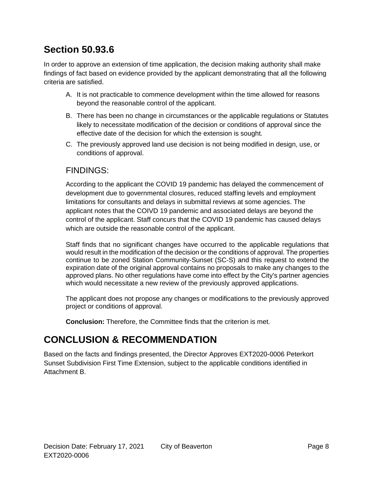## **Section 50.93.6**

In order to approve an extension of time application, the decision making authority shall make findings of fact based on evidence provided by the applicant demonstrating that all the following criteria are satisfied.

- A. It is not practicable to commence development within the time allowed for reasons beyond the reasonable control of the applicant.
- B. There has been no change in circumstances or the applicable regulations or Statutes likely to necessitate modification of the decision or conditions of approval since the effective date of the decision for which the extension is sought.
- C. The previously approved land use decision is not being modified in design, use, or conditions of approval.

#### FINDINGS:

According to the applicant the COVID 19 pandemic has delayed the commencement of development due to governmental closures, reduced staffing levels and employment limitations for consultants and delays in submittal reviews at some agencies. The applicant notes that the COIVD 19 pandemic and associated delays are beyond the control of the applicant. Staff concurs that the COVID 19 pandemic has caused delays which are outside the reasonable control of the applicant.

Staff finds that no significant changes have occurred to the applicable regulations that would result in the modification of the decision or the conditions of approval. The properties continue to be zoned Station Community-Sunset (SC-S) and this request to extend the expiration date of the original approval contains no proposals to make any changes to the approved plans. No other regulations have come into effect by the City's partner agencies which would necessitate a new review of the previously approved applications.

The applicant does not propose any changes or modifications to the previously approved project or conditions of approval.

**Conclusion:** Therefore, the Committee finds that the criterion is met.

## **CONCLUSION & RECOMMENDATION**

Based on the facts and findings presented, the Director Approves EXT2020-0006 Peterkort Sunset Subdivision First Time Extension, subject to the applicable conditions identified in Attachment B.